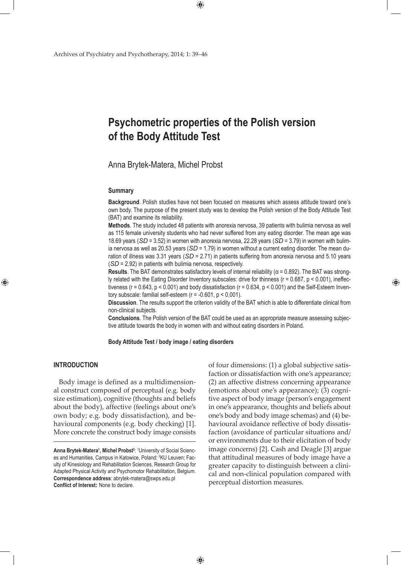# **Psychometric properties of the Polish version of the Body Attitude Test**

# Anna Brytek-Matera, Michel Probst

#### **Summary**

**Background**. Polish studies have not been focused on measures which assess attitude toward one's own body. The purpose of the present study was to develop the Polish version of the Body Attitude Test (BAT) and examine its reliability.

**Methods**. The study included 48 patients with anorexia nervosa, 39 patients with bulimia nervosa as well as 115 female university students who had never suffered from any eating disorder. The mean age was 18.69 years (*SD* = 3.52) in women with anorexia nervosa, 22.28 years (*SD* = 3.79) in women with bulimia nervosa as well as 20.53 years (SD = 1.79) in women without a current eating disorder. The mean duration of illness was 3.31 years (*SD* = 2.71) in patients suffering from anorexia nervosa and 5.10 years (*SD* = 2.92) in patients with bulimia nervosa, respectively.

**Results**. The BAT demonstrates satisfactory levels of internal reliability (α = 0.892). The BAT was strongly related with the Eating Disorder Inventory subscales: drive for thinness ( $r = 0.687$ ,  $p < 0.001$ ), ineffectiveness ( $r = 0.643$ ,  $p < 0.001$ ) and body dissatisfaction ( $r = 0.634$ ,  $p < 0.001$ ) and the Self-Esteem Inventory subscale: familial self-esteem (r = -0.601, p < 0.001).

**Discussion**. The results support the criterion validity of the BAT which is able to differentiate clinical from non-clinical subjects.

**Conclusions**. The Polish version of the BAT could be used as an appropriate measure assessing subjective attitude towards the body in women with and without eating disorders in Poland.

**Body Attitude Test / body image / eating disorders**

 $\bigoplus$ 

#### **Introduction**

⊕

Body image is defined as a multidimensional construct composed of perceptual (e.g. body size estimation), cognitive (thoughts and beliefs about the body), affective (feelings about one's own body; e.g. body dissatisfaction), and behavioural components (e.g. body checking) [1]. More concrete the construct body image consists

of four dimensions: (1) a global subjective satisfaction or dissatisfaction with one's appearance; (2) an affective distress concerning appearance (emotions about one's appearance); (3) cognitive aspect of body image (person's engagement in one's appearance, thoughts and beliefs about one's body and body image schemas) and (4) behavioural avoidance reflective of body dissatisfaction (avoidance of particular situations and/ or environments due to their elicitation of body image concerns) [2]. Cash and Deagle [3] argue that attitudinal measures of body image have a greater capacity to distinguish between a clinical and non-clinical population compared with perceptual distortion measures.

⊕

Anna Brytek-Matera<sup>1</sup>, Michel Probst<sup>2</sup>: <sup>1</sup>University of Social Sciences and Humanities, Campus in Katowice, Poland: <sup>2</sup>KU Leuven; Faculty of Kinesiology and Rehabilitation Sciences, Research Group for Adapted Physical Activity and Psychomotor Rehabilitation, Belgium. **Correspondence address**: abrytek-matera@swps.edu.pl **Conflict of Interest:** None to declare.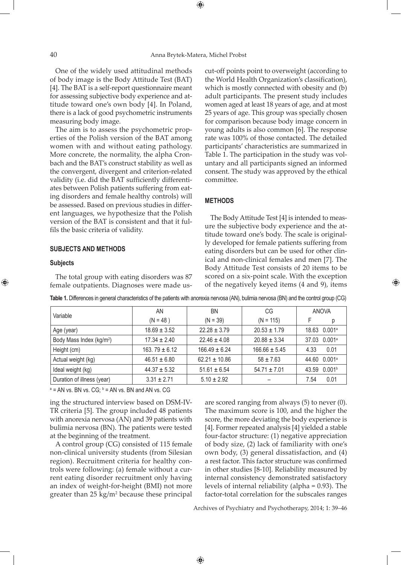⊕

One of the widely used attitudinal methods of body image is the Body Attitude Test (BAT) [4]. The BAT is a self-report questionnaire meant for assessing subjective body experience and attitude toward one's own body [4]. In Poland, there is a lack of good psychometric instruments measuring body image.

The aim is to assess the psychometric properties of the Polish version of the BAT among women with and without eating pathology. More concrete, the normality, the alpha Cronbach and the BAT's construct stability as well as the convergent, divergent and criterion-related validity (i.e. did the BAT sufficiently differentiates between Polish patients suffering from eating disorders and female healthy controls) will be assessed. Based on previous studies in different languages, we hypothesize that the Polish version of the BAT is consistent and that it fulfils the basic criteria of validity.

## **Subjects and methods**

#### **Subjects**

⊕

The total group with eating disorders was 87 female outpatients. Diagnoses were made uscut-off points point to overweight (according to the World Health Organization's classification), which is mostly connected with obesity and (b) adult participants. The present study includes women aged at least 18 years of age, and at most 25 years of age. This group was specially chosen for comparison because body image concern in young adults is also common [6]. The response rate was 100% of those contacted. The detailed participants' characteristics are summarized in Table 1. The participation in the study was voluntary and all participants signed an informed consent. The study was approved by the ethical committee.

## **Methods**

The Body Attitude Test [4] is intended to measure the subjective body experience and the attitude toward one's body. The scale is originally developed for female patients suffering from eating disorders but can be used for other clinical and non-clinical females and men [7]. The Body Attitude Test consists of 20 items to be scored on a six-point scale. With the exception of the negatively keyed items (4 and 9), items

| Variable                             | AN                | ΒN                | CG                |                             |
|--------------------------------------|-------------------|-------------------|-------------------|-----------------------------|
|                                      | $(N = 48)$        | $(N = 39)$        | $(N = 115)$       | F                           |
| Age (year)                           | $18.69 \pm 3.52$  | $22.28 \pm 3.79$  | $20.53 \pm 1.79$  | 18.63 0.001 <sup>a</sup>    |
| Body Mass Index (kg/m <sup>2</sup> ) | $17.34 \pm 2.40$  | $22.46 \pm 4.08$  | $20.88 \pm 3.34$  | 0.001a<br>37.03             |
| Height (cm)                          | 163.79 $\pm$ 6.12 | $166.49 \pm 6.24$ | $166.66 \pm 5.45$ | 0.01<br>4.33                |
| Actual weight (kg)                   | $46.51 \pm 6.80$  | $62.21 \pm 10.86$ | $58 \pm 7.63$     | 0.001a<br>44.60             |
| Ideal weight (kg)                    | $44.37 \pm 5.32$  | $51.61 \pm 6.54$  | $54.71 \pm 7.01$  | 0.001 <sup>b</sup><br>43.59 |
| Duration of illness (year)           | $3.31 \pm 2.71$   | $5.10 \pm 2.92$   |                   | 0.01<br>7.54                |

 $\bigoplus$ 

**Table 1.** Differences in general characteristics of the patients with anorexia nervosa (AN), bulimia nervosa (BN) and the control group (CG)

 $a = AN$  vs. BN vs. CG;  $b = AN$  vs. BN and AN vs. CG

ing the structured interview based on DSM-IV-TR criteria [5]. The group included 48 patients with anorexia nervosa (AN) and 39 patients with bulimia nervosa (BN). The patients were tested at the beginning of the treatment.

A control group (CG) consisted of 115 female non-clinical university students (from Silesian region). Recruitment criteria for healthy controls were following: (a) female without a current eating disorder recruitment only having an index of weight-for-height (BMI) not more greater than  $25 \text{ kg/m}^2$  because these principal are scored ranging from always (5) to never (0). The maximum score is 100, and the higher the score, the more deviating the body experience is [4]. Former repeated analysis [4] yielded a stable four-factor structure: (1) negative appreciation of body size, (2) lack of familiarity with one's own body, (3) general dissatisfaction, and (4) a rest factor. This factor structure was confirmed in other studies [8-10]. Reliability measured by internal consistency demonstrated satisfactory levels of internal reliability (alpha = 0.93). The factor-total correlation for the subscales ranges

Archives of Psychiatry and Psychotherapy, 2014; 1: 39–46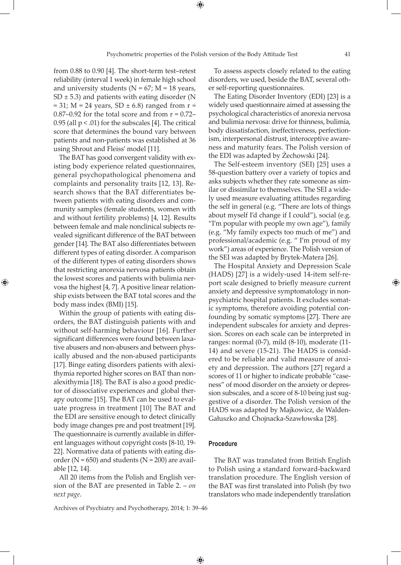from 0.88 to 0.90 [4]. The short-term test–retest reliability (interval 1 week) in female high school and university students ( $N = 67$ ;  $M = 18$  years, SD  $\pm$  5.3) and patients with eating disorder (N  $= 31$ ; M = 24 years, SD  $\pm$  6.8) ranged from r =  $0.87-0.92$  for the total score and from  $r = 0.72-$ 0.95 (all  $p < .01$ ) for the subscales [4]. The critical score that determines the bound vary between patients and non-patients was established at 36 using Shrout and Fleiss' model [11].

The BAT has good convergent validity with existing body experience related questionnaires, general psychopathological phenomena and complaints and personality traits [12, 13]. Research shows that the BAT differentiates between patients with eating disorders and community samples (female students, women with and without fertility problems) [4, 12]. Results between female and male nonclinical subjects revealed significant difference of the BAT between gender [14]. The BAT also differentiates between different types of eating disorder. A comparison of the different types of eating disorders shows that restricting anorexia nervosa patients obtain the lowest scores and patients with bulimia nervosa the highest [4, 7]. A positive linear relationship exists between the BAT total scores and the body mass index (BMI) [15].

⊕

Within the group of patients with eating disorders, the BAT distinguish patients with and without self-harming behaviour [16]. Further significant differences were found between laxative abusers and non-abusers and between physically abused and the non-abused participants [17]. Binge eating disorders patients with alexithymia reported higher scores on BAT than nonalexithymia [18]. The BAT is also a good predictor of dissociative experiences and global therapy outcome [15]. The BAT can be used to evaluate progress in treatment [10] The BAT and the EDI are sensitive enough to detect clinically body image changes pre and post treatment [19]. The questionnaire is currently available in different languages without copyright costs [8-10, 19- 22]. Normative data of patients with eating disorder ( $N = 650$ ) and students ( $N = 200$ ) are available [12, 14].

All 20 items from the Polish and English version of the BAT are presented in Table 2. – *on next page*.

Archives of Psychiatry and Psychotherapy, 2014; 1: 39–46

To assess aspects closely related to the eating disorders, we used, beside the BAT, several other self-reporting questionnaires.

The Eating Disorder Inventory (EDI) [23] is a widely used questionnaire aimed at assessing the psychological characteristics of anorexia nervosa and bulimia nervosa: drive for thinness, bulimia, body dissatisfaction, ineffectiveness, perfectionism, interpersonal distrust, interoceptive awareness and maturity fears. The Polish version of the EDI was adapted by Żechowski [24].

The Self-esteem inventory (SEI) [25] uses a 58-question battery over a variety of topics and asks subjects whether they rate someone as similar or dissimilar to themselves. The SEI a widely used measure evaluating attitudes regarding the self in general (e.g. "There are lots of things about myself I'd change if I could"), social (e.g. "I'm popular with people my own age"), family (e.g. "My family expects too much of me") and professional/academic (e.g. " I'm proud of my work") areas of experience. The Polish version of the SEI was adapted by Brytek-Matera [26].

The Hospital Anxiety and Depression Scale (HADS) [27] is a widely-used 14-item self-report scale designed to briefly measure current anxiety and depressive symptomatology in nonpsychiatric hospital patients. It excludes somatic symptoms, therefore avoiding potential confounding by somatic symptoms [27]. There are independent subscales for anxiety and depression. Scores on each scale can be interpreted in ranges: normal (0-7), mild (8-10), moderate (11- 14) and severe (15-21). The HADS is considered to be reliable and valid measure of anxiety and depression. The authors [27] regard a scores of 11 or higher to indicate probable "caseness" of mood disorder on the anxiety or depression subscales, and a score of 8-10 being just suggestive of a disorder. The Polish version of the HADS was adapted by Majkowicz, de Walden-Gałuszko and Chojnacka-Szawłowska [28].

# **Procedure**

 $\bigoplus$ 

The BAT was translated from British English to Polish using a standard forward-backward translation procedure. The English version of the BAT was first translated into Polish (by two translators who made independently translation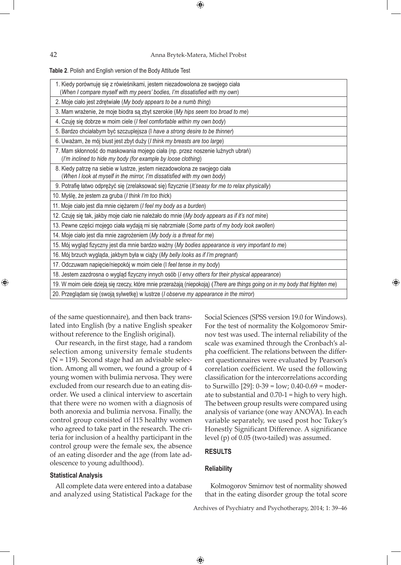42 Anna Brytek-Matera, Michel Probst

 $\bigoplus$ 

**Table 2**. Polish and English version of the Body Attitude Test

| 1. Kiedy porównuję się z rówieśnikami, jestem niezadowolona ze swojego ciała<br>(When I compare myself with my peers' bodies, I'm dissatisfied with my own) |
|-------------------------------------------------------------------------------------------------------------------------------------------------------------|
| 2. Moje ciało jest zdrętwiałe (My body appears to be a numb thing)                                                                                          |
| 3. Mam wrażenie, że moje biodra są zbyt szerokie (My hips seem too broad to me)                                                                             |
| 4. Czuję się dobrze w moim ciele ( <i>I feel comfortable within my own body</i> )                                                                           |
| 5. Bardzo chciałabym być szczuplejsza (I have a strong desire to be thinner)                                                                                |
| 6. Uważam, że mój biust jest zbyt duży (I think my breasts are too large)                                                                                   |
| 7. Mam skłonność do maskowania mojego ciała (np. przez noszenie luźnych ubrań)<br>(I'm inclined to hide my body (for example by loose clothing)             |
| 8. Kiedy patrzę na siebie w lustrze, jestem niezadowolona ze swojego ciała<br>(When I look at myself in the mirror, I'm dissatisfied with my own body)      |
| 9. Potrafię łatwo odprężyć się (zrelaksować się) fizycznie (It'seasy for me to relax physically)                                                            |
| 10. Myślę, że jestem za gruba (I think I'm too thick)                                                                                                       |
| 11. Moje ciało jest dla mnie ciężarem ( <i>I feel my body as a burden</i> )                                                                                 |
| 12. Czuję się tak, jakby moje ciało nie należało do mnie (My body appears as if it's not mine)                                                              |
| 13. Pewne części mojego ciała wydają mi się nabrzmiałe (Some parts of my body look swollen)                                                                 |
| 14. Moje ciało jest dla mnie zagrożeniem (My body is a threat for me)                                                                                       |
| 15. Mój wygląd fizyczny jest dla mnie bardzo ważny (My bodies appearance is very important to me)                                                           |
| 16. Mój brzuch wygląda, jakbym była w ciąży (My belly looks as if I'm pregnant)                                                                             |
| 17. Odczuwam napięcie/niepokój w moim ciele (I feel tense in my body)                                                                                       |
| 18. Jestem zazdrosna o wygląd fizyczny innych osób (I envy others for their physical appearance)                                                            |
| 19. W moim ciele dzieją się rzeczy, które mnie przerażają (niepokoją) (There are things going on in my body that frighten me)                               |
| 20. Przeglądam się (swoją sylwetkę) w lustrze (I observe my appearance in the mirror)                                                                       |

of the same questionnaire), and then back translated into English (by a native English speaker without reference to the English original).

Our research, in the first stage, had a random selection among university female students  $(N = 119)$ . Second stage had an advisable selection. Among all women, we found a group of 4 young women with bulimia nervosa. They were excluded from our research due to an eating disorder. We used a clinical interview to ascertain that there were no women with a diagnosis of both anorexia and bulimia nervosa. Finally, the control group consisted of 115 healthy women who agreed to take part in the research. The criteria for inclusion of a healthy participant in the control group were the female sex, the absence of an eating disorder and the age (from late adolescence to young adulthood).

# **Statistical Analysis**

All complete data were entered into a database and analyzed using Statistical Package for the Social Sciences (SPSS version 19.0 for Windows). For the test of normality the Kolgomorov Smirnov test was used. The internal reliability of the scale was examined through the Cronbach's alpha coefficient. The relations between the different questionnaires were evaluated by Pearson's correlation coefficient. We used the following classification for the intercorrelations according to Surwillo [29]: 0-39 = low; 0.40-0.69 = moderate to substantial and 0.70-1 = high to very high. The between group results were compared using analysis of variance (one way ANOVA). In each variable separately, we used post hoc Tukey's Honestly Significant Difference. A significance level (p) of 0.05 (two-tailed) was assumed.

⊕

## **Results**

#### **Reliability**

Kolmogorov Smirnov test of normality showed that in the eating disorder group the total score

Archives of Psychiatry and Psychotherapy, 2014; 1: 39–46

⊕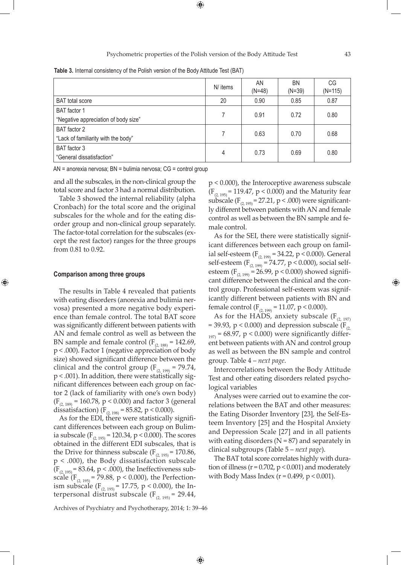**Table 3.** Internal consistency of the Polish version of the Body Attitude Test (BAT)

|                                                      | N/ items | AN<br>$(N=48)$ | <b>BN</b><br>$(N=39)$ | CG<br>$(N=115)$ |
|------------------------------------------------------|----------|----------------|-----------------------|-----------------|
| <b>BAT</b> total score                               | 20       | 0.90           | 0.85                  | 0.87            |
| BAT factor 1<br>"Negative appreciation of body size" |          | 0.91           | 0.72                  | 0.80            |
| BAT factor 2<br>"Lack of familiarity with the body"  | 7        | 0.63           | 0.70                  | 0.68            |
| BAT factor 3<br>"General dissatisfaction"            | 4        | 0.73           | 0.69                  | 0.80            |

AN = anorexia nervosa; BN = bulimia nervosa; CG = control group

and all the subscales, in the non-clinical group the total score and factor 3 had a normal distribution.

Table 3 showed the internal reliability (alpha Cronbach) for the total score and the original subscales for the whole and for the eating disorder group and non-clinical group separately. The factor-total correlation for the subscales (except the rest factor) ranges for the three groups from 0.81 to 0.92.

# **Comparison among three groups**

⊕

The results in Table 4 revealed that patients with eating disorders (anorexia and bulimia nervosa) presented a more negative body experience than female control. The total BAT score was significantly different between patients with AN and female control as well as between the BN sample and female control ( $F_{(2, 188)} = 142.69$ , p < .000). Factor 1 (negative appreciation of body size) showed significant difference between the clinical and the control group ( $F_{(2, 199)} = 79.74$ , p < .001). In addition, there were statistically significant differences between each group on factor 2 (lack of familiarity with one's own body)  $(F<sub>(2, 189)</sub> = 160.78, p < 0.000)$  and factor 3 (general dissatisfaction) ( $F_{(2, 198)} = 85.82$ , p < 0.000).

As for the EDI, there were statistically significant differences between each group on Bulimia subscale (F<sub>(2, 195)</sub> = 120.34, p < 0.000). The scores obtained in the different EDI subscales, that is the Drive for thinness subscale  $(F_{(2.195)} = 170.86$ ,  $p < .000$ ), the Body dissatisfaction subscale  $(F_{(2, 195)} = 83.64, p < .000)$ , the Ineffectiveness subscale ( $F_{(2, 195)}$  = 79.88, p < 0.000), the Perfectionism subscale (F<sub>(2, 195)</sub> = 17.75, p < 0.000), the Interpersonal distrust subscale  $(F_{(2, 195)} = 29.44$ ,

Archives of Psychiatry and Psychotherapy, 2014; 1: 39–46

 $\bigoplus$ 

p < 0.000), the Interoceptive awareness subscale  $(F_{(2, 195)} = 119.47, p < 0.000)$  and the Maturity fear subscale ( $F_{(2, 195)} = 27.21$ , p < .000) were significantly different between patients with AN and female control as well as between the BN sample and female control.

As for the SEI, there were statistically significant differences between each group on familial self-esteem ( $F_{(2, 199)} = 34.22$ , p < 0.000). General self-esteem  $(F_{(2, 199)} = 74.77, p < 0.000)$ , social selfesteem ( $F_{(2, 199)} = 26.99$ , p < 0.000) showed significant difference between the clinical and the control group. Professional self-esteem was significantly different between patients with BN and female control ( $F_{(2, 199)} = 11.07$ , p < 0.000).

As for the HADS, anxiety subscale  $(F_{(2, 197)})$ = 39.93,  $p$  < 0.000) and depression subscale ( $F_{(2)}$ )  $_{197}$  = 68.97, p < 0.000) were significantly different between patients with AN and control group as well as between the BN sample and control group. Table 4 – *next page*.

Intercorrelations between the Body Attitude Test and other eating disorders related psychological variables

Analyses were carried out to examine the correlations between the BAT and other measures: the Eating Disorder Inventory [23], the Self-Esteem Inventory [25] and the Hospital Anxiety and Depression Scale [27] and in all patients with eating disorders ( $N = 87$ ) and separately in clinical subgroups (Table 5 – *next page*).

The BAT total score correlates highly with duration of illness ( $r = 0.702$ ,  $p < 0.001$ ) and moderately with Body Mass Index ( $r = 0.499$ ,  $p < 0.001$ ).

↔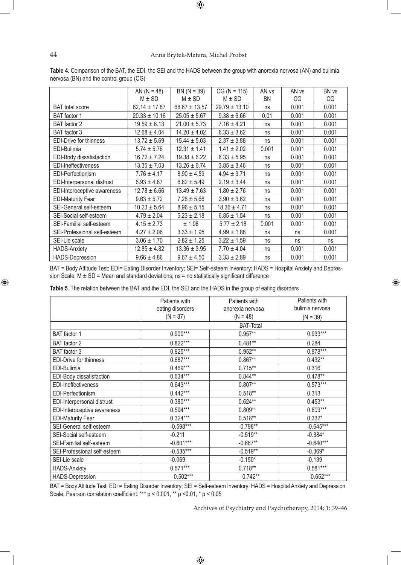# 44 Anna Brytek-Matera, Michel Probst

 $\bigoplus$ 

|                               | AN $(N = 48)$     | $BN (N = 39)$     | $CG (N = 115)$    | AN <sub>vs</sub> | AN <sub>vs</sub> | BN vs |
|-------------------------------|-------------------|-------------------|-------------------|------------------|------------------|-------|
|                               | $M \pm SD$        | $M \pm SD$        | $M \pm SD$        | BN               | CG               | CG    |
| <b>BAT</b> total score        | $62.14 \pm 17.87$ | $68.67 \pm 13.57$ | $29.79 \pm 13.10$ | ns               | 0.001            | 0.001 |
| BAT factor 1                  | $20.33 \pm 10.16$ | $25.05 \pm 5.67$  | $9.38 \pm 6.66$   | 0.01             | 0.001            | 0.001 |
| BAT factor 2                  | $19.59 \pm 6.13$  | $21.00 \pm 5.73$  | $7.16 \pm 4.21$   | ns               | 0.001            | 0.001 |
| BAT factor 3                  | $12.68 \pm 4.04$  | $14.20 \pm 4.02$  | $6.33 \pm 3.62$   | ns               | 0.001            | 0.001 |
| <b>EDI-Drive for thinness</b> | $13.72 \pm 5.69$  | $15.44 \pm 5.03$  | $2.37 \pm 3.88$   | ns               | 0.001            | 0.001 |
| EDI-Bulimia                   | $5.74 \pm 5.76$   | $12.31 \pm 1.41$  | $1.41 \pm 2.02$   | 0.001            | 0.001            | 0.001 |
| EDI-Body dissatisfaction      | $16.72 \pm 7.24$  | $19.38 \pm 6.22$  | $6.33 \pm 5.95$   | ns               | 0.001            | 0.001 |
| EDI-Ineffectiveness           | $13.35 \pm 7.03$  | $13.26 \pm 6.74$  | $3.85 \pm 3.46$   | ns               | 0.001            | 0.001 |
| EDI-Perfectionism             | $7.76 \pm 4.17$   | $8.90 \pm 4.59$   | $4.94 \pm 3.71$   | ns               | 0.001            | 0.001 |
| EDI-Interpersonal distrust    | $6.93 \pm 4.87$   | $6.82 \pm 5.49$   | $2.19 \pm 3.44$   | ns               | 0.001            | 0.001 |
| EDI-Interoceptive awareness   | $12.78 \pm 6.66$  | $13.49 \pm 7.63$  | $1.80 \pm 2.76$   | ns               | 0.001            | 0.001 |
| <b>EDI-Maturity Fear</b>      | $9.63 \pm 5.72$   | $7.26 \pm 5.66$   | $3.90 \pm 3.62$   | ns               | 0.001            | 0.001 |
| SEI-General self-esteem       | $10.23 \pm 5.64$  | $8.96 \pm 5.15$   | $18.36 \pm 4.71$  | ns               | 0.001            | 0.001 |
| SEI-Social self-esteem        | $4.79 \pm 2.04$   | $5.23 \pm 2.18$   | $6.85 \pm 1.54$   | ns               | 0.001            | 0.001 |
| SEI-Familial self-esteem      | $4.15 \pm 2.73$   | ± 1.98            | $5.77 \pm 2.18$   | 0.001            | 0.001            | 0.001 |
| SEI-Professional self-esteem  | $4.27 \pm 2.06$   | $3.33 \pm 1.95$   | $4.99 \pm 1.88$   | ns               | ns               | 0.001 |
| SEI-Lie scale                 | $3.06 \pm 1.70$   | $2.82 \pm 1.25$   | $3.22 \pm 1.59$   | ns               | ns               | ns    |
| <b>HADS-Anxiety</b>           | $12.85 \pm 4.82$  | $13.36 \pm 3.95$  | $7.70 \pm 4.04$   | ns               | 0.001            | 0.001 |
| <b>HADS-Depression</b>        | $9.66 \pm 4.86$   | $9.67 \pm 4.50$   | $3.33 \pm 2.89$   | ns               | 0.001            | 0.001 |

**Table 4**. Comparison of the BAT, the EDI, the SEI and the HADS between the group with anorexia nervosa (AN) and bulimia nervosa (BN) and the control group (CG)

BAT = Body Attitude Test; EDI= Eating Disorder Inventory; SEI= Self-esteem Inventory; HADS = Hospital Anxiety and Depression Scale;  $M \pm SD = Mean$  and standard deviations; ns = no statistically significant difference

**Table 5**. The relation between the BAT and the EDI, the SEI and the HADS in the group of eating disorders

|                              | Patients with    | Patients with    | Patients with   |  |  |
|------------------------------|------------------|------------------|-----------------|--|--|
|                              | eating disorders | anorexia nervosa | bulimia nervosa |  |  |
|                              | $(N = 87)$       | $(N = 48)$       | $(N = 39)$      |  |  |
|                              | <b>BAT-Total</b> |                  |                 |  |  |
| BAT factor 1                 | $0.900***$       | $0.957**$        | 0.933***        |  |  |
| BAT factor 2                 | $0.822***$       | $0.481**$        | 0.284           |  |  |
| BAT factor 3                 | $0.825***$       | $0.952**$        | $0.878***$      |  |  |
| EDI-Drive for thinness       | $0.687***$       | $0.867**$        | $0.432**$       |  |  |
| EDI-Bulimia                  | $0.469***$       | $0.715***$       | 0.316           |  |  |
| EDI-Body dissatisfaction     | $0.634***$       | $0.844**$        | $0.478**$       |  |  |
| <b>EDI-Ineffectiveness</b>   | $0.643***$       | $0.807**$        | $0.573***$      |  |  |
| EDI-Perfectionism            | $0.442***$       | $0.518**$        | 0.313           |  |  |
| EDI-Interpersonal distrust   | $0.380***$       | $0.624**$        | $0.453**$       |  |  |
| EDI-Interoceptive awareness  | $0.594***$       | $0.809**$        | $0.603***$      |  |  |
| <b>EDI-Maturity Fear</b>     | $0.324***$       | $0.518**$        | $0.332*$        |  |  |
| SEI-General self-esteem      | $-0.598***$      | $-0.798**$       | $-0.645***$     |  |  |
| SEI-Social self-esteem       | $-0.211$         | $-0.519**$       | $-0.384*$       |  |  |
| SEI-Familial self-esteem     | $-0.601***$      | $-0.667**$       | $-0.640***$     |  |  |
| SEI-Professional self-esteem | $-0.535***$      | $-0.519**$       | $-0.369*$       |  |  |
| SEI-Lie scale                | $-0.069$         | $-0.150*$        | $-0.139$        |  |  |
| <b>HADS-Anxiety</b>          | $0.571***$       | $0.718**$        | $0.581***$      |  |  |
| HADS-Depression              | $0.502***$       | $0.742**$        | $0.652***$      |  |  |

BAT = Body Attitude Test; EDI = Eating Disorder Inventory; SEI = Self-esteem Inventory; HADS = Hospital Anxiety and Depression Scale; Pearson correlation coefficient: \*\*\* p < 0.001, \*\* p <0.01, \* p < 0.05

Archives of Psychiatry and Psychotherapy, 2014; 1: 39–46

⊕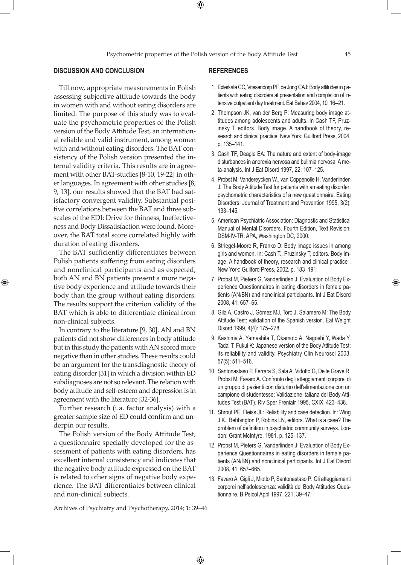$\bigoplus$ 

Till now, appropriate measurements in Polish assessing subjective attitude towards the body in women with and without eating disorders are limited. The purpose of this study was to evaluate the psychometric properties of the Polish version of the Body Attitude Test, an international reliable and valid instrument, among women with and without eating disorders. The BAT consistency of the Polish version presented the internal validity criteria. This results are in agreement with other BAT-studies [8-10, 19-22] in other languages. In agreement with other studies [8, 9, 13], our results showed that the BAT had satisfactory convergent validity. Substantial positive correlations between the BAT and three subscales of the EDI: Drive for thinness, Ineffectiveness and Body Dissatisfaction were found. Moreover, the BAT total score correlated highly with duration of eating disorders.

The BAT sufficiently differentiates between Polish patients suffering from eating disorders and nonclinical participants and as expected, both AN and BN patients present a more negative body experience and attitude towards their body than the group without eating disorders. The results support the criterion validity of the BAT which is able to differentiate clinical from non-clinical subjects.

⊕

In contrary to the literature [9, 30], AN and BN patients did not show differences in body attitude but in this study the patients with AN scored more negative than in other studies. These results could be an argument for the transdiagnostic theory of eating disorder [31] in which a division within ED subdiagnoses are not so relevant. The relation with body attitude and self-esteem and depression is in agreement with the literature [32-36].

Further research (i.a. factor analysis) with a greater sample size of ED could confirm and underpin our results.

The Polish version of the Body Attitude Test, a questionnaire specially developed for the assessment of patients with eating disorders, has excellent internal consistency and indicates that the negative body attitude expressed on the BAT is related to other signs of negative body experience. The BAT differentiates between clinical and non-clinical subjects.

#### **References**

- 1. Exterkate CC, Vriesendorp PF, de Jong CAJ: Body attitudes in patients with eating disorders at presentation and completion of intensive outpatient day treatment. Eat Behav 2004, 10: 16**–**21.
- 2. Thompson JK, van der Berg P: Measuring body image attitudes among adolescents and adults. In Cash TF, Pruzinsky T, editors. Body image. A handbook of theory, research and clinical practice. New York: Guilford Press, 2004. p. 135–141.
- 3. Cash TF, Deagle EA: The nature and extent of body-image disturbances in anorexia nervosa and bulimia nervosa: A meta-analysis. Int J Eat Disord 1997, 22: 107–125.
- 4. Probst M, Vandereycken W., van Coppenolle H, Vanderlinden J: The Body Attitude Test for patients with an eating disorder: psychometric characteristics of a new questionnaire. Eating Disorders: Journal of Treatment and Prevention 1995, 3(2): 133–145.
- 5. American Psychiatric Association: Diagnostic and Statistical Manual of Mental Disorders. Fourth Edition, Text Revision: DSM-IV-TR. APA, Washington DC, 2000.
- 6. Striegel-Moore R, Franko D: Body image issues in among girls and women. In: Cash T., Pruzinsky T, editors. Body image. A handbook of theory, research and clinical practice . New York: Guilford Press, 2002. p. 183–191.
- 7. Probst M, Pieters G, Vanderlinden J: Evaluation of Body Experience Questionnaires in eating disorders in female patients (AN/BN) and nonclinical participants. Int J Eat Disord 2008, 41: 657–65.
- 8. Gila A, Castro J, Gómez MJ, Toro J, Salamero M: The Body Attitude Test: validation of the Spanish version. Eat Weight Disord 1999, 4(4): 175–278.
- 9. Kashima A, Yamashita T, Okamoto A, Nagoshi Y, Wada Y, Tadai T, Fukui K: Japanese version of the Body Attitude Test: its reliability and validity. Psychiatry Clin Neurosci 2003, 57(5): 511–516.
- 10. Santonastaso P, Ferrara S, Sala A, Vidotto G, Delle Grave R, Probst M, Favaro A. Confronto degli atteggiamenti corporei di un gruppo di pazienti con disturbo dell'alimentazione con un campione di studentesse: Validazione italiana del Body Attitudes Test (BAT). Riv Sper Freniatr 1995, CXIX: 423–436.
- 11. Shrout PE, Fleiss JL: Reliability and case detection. In: Wing J.K., Bebbington P, Robins LN, editors. What is a case? The problem of definition in psychiatric community surveys. London: Grant McIntyre, 1981. p. 125–137.
- 12. Probst M, Pieters G, Vanderlinden J: Evaluation of Body Experience Questionnaires in eating disorders in female patients (AN/BN) and nonclinical participants. Int J Eat Disord 2008, 41: 657–665.
- 13. Favaro A, Gigli J, Miotto P, Santonastaso P: Gli atteggiamenti corporei nell'adolescenza: validità del Body Attitudes Questionnaire. B Psicol Appl 1997, 221, 39–47.

Archives of Psychiatry and Psychotherapy, 2014; 1: 39–46